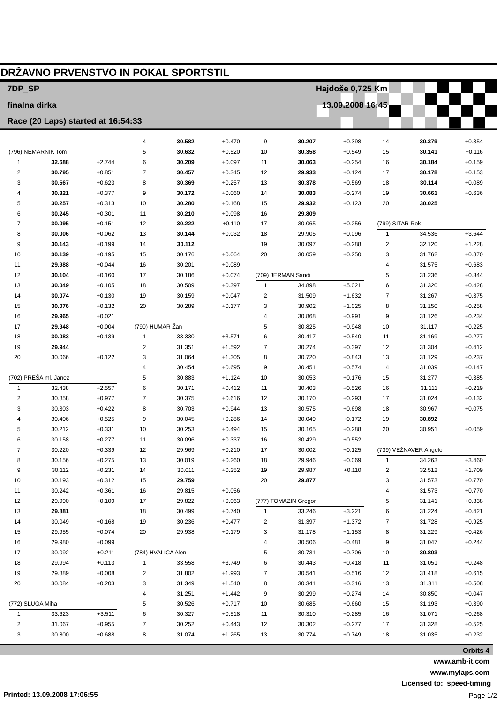| 7DP_SP<br>Hajdoše 0,725 Km<br>13.09.2008 16:45<br>finalna dirka<br>Race (20 Laps) started at 16:54:33<br>30.582<br>4<br>$+0.470$<br>9<br>30.207<br>$+0.398$<br>14<br>30.379<br>$+0.354$<br>(796) NEMARNIK Tom<br>5<br>30.632<br>30.358<br>$+0.116$<br>$+0.520$<br>10<br>$+0.549$<br>15<br>30.141<br>$\mathbf{1}$<br>32.688<br>$+2.744$<br>6<br>30.209<br>$+0.097$<br>30.063<br>$+0.254$<br>$+0.159$<br>16<br>30.184<br>11<br>$\overline{2}$<br>30.795<br>$+0.851$<br>$\overline{7}$<br>30.457<br>29.933<br>$+0.345$<br>12<br>$+0.124$<br>17<br>30.178<br>$+0.153$<br>30.567<br>$+0.623$<br>8<br>30.369<br>$+0.257$<br>30.378<br>$+0.089$<br>3<br>13<br>$+0.569$<br>18<br>30.114<br>$+0.377$<br>30.172<br>$+0.060$<br>30.083<br>4<br>30.321<br>9<br>14<br>$+0.274$<br>19<br>30.661<br>$+0.636$<br>30.257<br>$+0.313$<br>30.280<br>$+0.168$<br>29.932<br>5<br>10<br>15<br>$+0.123$<br>20<br>30.025<br>30.245<br>$+0.301$<br>30.210<br>$+0.098$<br>29.809<br>6<br>11<br>16<br>30.095<br>$+0.151$<br>12<br>30.222<br>30.065<br>$+0.256$<br>(799) SITAR Rok<br>7<br>$+0.110$<br>17<br>30.006<br>13<br>$+0.096$<br>$\mathbf{1}$<br>34.536<br>$+3.644$<br>8<br>$+0.062$<br>30.144<br>$+0.032$<br>18<br>29.905<br>2<br>9<br>30.143<br>$+0.199$<br>14<br>30.112<br>19<br>30.097<br>$+0.288$<br>32.120<br>$+1.228$<br>20<br>$+0.870$<br>10<br>30.139<br>$+0.195$<br>15<br>30.176<br>$+0.064$<br>30.059<br>$+0.250$<br>3<br>31.762<br>29.988<br>16<br>4<br>11<br>$+0.044$<br>30.201<br>$+0.089$<br>31.575<br>$+0.683$<br>17<br>(709) JERMAN Sandi<br>5<br>12<br>30.104<br>$+0.160$<br>30.186<br>$+0.074$<br>31.236<br>$+0.344$<br>$\mathbf{1}$<br>$+5.021$<br>6<br>13<br>30.049<br>$+0.105$<br>18<br>30.509<br>$+0.397$<br>34.898<br>31.320<br>$+0.428$<br>19<br>$\overline{\mathbf{c}}$<br>7<br>14<br>30.074<br>$+0.130$<br>30.159<br>$+0.047$<br>31.509<br>$+1.632$<br>31.267<br>$+0.375$<br>20<br>$+0.177$<br>3<br>8<br>15<br>30.076<br>$+0.132$<br>30.289<br>30.902<br>$+1.025$<br>31.150<br>$+0.258$<br>29.965<br>$+0.021$<br>4<br>30.868<br>$+0.991$<br>9<br>31.126<br>$+0.234$<br>16<br>(790) HUMAR Žan<br>29.948<br>$+0.004$<br>5<br>10<br>$+0.225$<br>17<br>30.825<br>$+0.948$<br>31.117<br>$\mathbf{1}$<br>33.330<br>$+3.571$<br>6<br>$+0.277$<br>18<br>30.083<br>$+0.139$<br>30.417<br>$+0.540$<br>11<br>31.169<br>29.944<br>$\overline{2}$<br>31.351<br>$+1.592$<br>30.274<br>$+0.412$<br>19<br>7<br>$+0.397$<br>12<br>31.304<br>$+0.122$<br>3<br>31.064<br>$+1.305$<br>30.720<br>$+0.237$<br>20<br>30.066<br>8<br>$+0.843$<br>13<br>31.129<br>$\overline{4}$<br>30.454<br>$+0.695$<br>30.451<br>$+0.574$<br>$+0.147$<br>9<br>14<br>31.039<br>(702) PREŠA ml. Janez<br>5<br>30.883<br>30.053<br>$+0.176$<br>$+0.385$<br>$+1.124$<br>10<br>15<br>31.277<br>$+2.557$<br>$\mathbf{1}$<br>32.438<br>6<br>30.171<br>30.403<br>$+0.219$<br>$+0.412$<br>11<br>$+0.526$<br>16<br>31.111<br>$\overline{2}$<br>$+0.977$<br>$\overline{7}$<br>30.170<br>$+0.132$<br>30.858<br>30.375<br>$+0.616$<br>12<br>$+0.293$<br>17<br>31.024<br>30.303<br>$+0.422$<br>8<br>30.703<br>$+0.944$<br>30.575<br>3<br>13<br>$+0.698$<br>18<br>30.967<br>$+0.075$<br>30.406<br>9<br>30.045<br>30.049<br>30.892<br>$+0.525$<br>$+0.286$<br>14<br>$+0.172$<br>19<br>4<br>$+0.331$<br>10<br>30.253<br>5<br>30.212<br>$+0.494$<br>15<br>30.165<br>$+0.288$<br>20<br>30.951<br>$+0.059$<br>30.158<br>$+0.277$<br>30.096<br>$+0.337$<br>30.429<br>$+0.552$<br>6<br>11<br>16<br>(739) VEŽNAVER Angelo<br>7<br>30.220<br>$+0.339$<br>12<br>29.969<br>$+0.210$<br>17<br>30.002<br>$+0.125$<br>30.156<br>$+0.275$<br>13<br>30.019<br>$+0.260$<br>29.946<br>$+0.069$<br>34.263<br>$+3.460$<br>8<br>18<br>$\mathbf{1}$<br>30.112<br>$+0.231$<br>14<br>30.011<br>$+0.252$<br>29.987<br>2<br>32.512<br>$+1.709$<br>9<br>19<br>$+0.110$<br>29.759<br>20<br>10<br>30.193<br>$+0.312$<br>15<br>29.877<br>3<br>31.573<br>$+0.770$<br>30.242<br>16<br>$+0.770$<br>11<br>$+0.361$<br>29.815<br>$+0.056$<br>4<br>31.573<br>12<br>29.990<br>$+0.109$<br>17<br>29.822<br>(777) TOMAZIN Gregor<br>31.141<br>$+0.338$<br>$+0.063$<br>5<br>13<br>29.881<br>18<br>30.499<br>$+0.740$<br>33.246<br>$+3.221$<br>31.224<br>$+0.421$<br>6<br>1<br>14<br>30.049<br>$+0.168$<br>19<br>30.236<br>$+0.477$<br>31.397<br>$+1.372$<br>31.728<br>$+0.925$<br>2<br>7<br>29.955<br>$+0.074$<br>20<br>29.938<br>$+0.179$<br>3<br>31.178<br>$+1.153$<br>31.229<br>$+0.426$<br>15<br>8<br>29.980<br>30.506<br>31.047<br>$+0.244$<br>16<br>$+0.099$<br>4<br>$+0.481$<br>9<br>17<br>30.092<br>$+0.211$<br>30.731<br>$+0.706$<br>30.803<br>(784) HVALICA Alen<br>5<br>10<br>29.994<br>$+0.113$<br>$\mathbf{1}$<br>33.558<br>$+3.749$<br>30.443<br>$+0.418$<br>31.051<br>$+0.248$<br>18<br>6<br>11<br>31.802<br>19<br>29.889<br>$+0.008$<br>$+1.993$<br>30.541<br>$+0.516$<br>12<br>31.418<br>$+0.615$<br>2<br>7<br>20<br>30.084<br>$+0.203$<br>3<br>31.349<br>$+1.540$<br>30.341<br>$+0.316$<br>13<br>31.311<br>$+0.508$<br>8<br>31.251<br>$+1.442$<br>30.299<br>$+0.274$<br>30.850<br>$+0.047$<br>4<br>9<br>14<br>(772) SLUGA Miha<br>5<br>30.526<br>$+0.717$<br>30.685<br>$+0.660$<br>31.193<br>$+0.390$<br>10<br>15<br>33.623<br>$+3.511$<br>6<br>30.327<br>$+0.518$<br>30.310<br>$+0.285$<br>31.071<br>$+0.268$<br>11<br>16<br>$\mathbf{1}$<br>2<br>31.067<br>$+0.955$<br>7<br>30.252<br>$+0.443$<br>30.302<br>$+0.277$<br>$+0.525$<br>12<br>17<br>31.328<br>$+0.232$<br>3<br>30.800<br>$+0.688$<br>8<br>31.074<br>$+1.265$<br>13<br>30.774<br>$+0.749$<br>18<br>31.035 | DRŽAVNO PRVENSTVO IN POKAL SPORTSTIL |  |  |  |  |  |  |  |  |  |  |  |  |
|----------------------------------------------------------------------------------------------------------------------------------------------------------------------------------------------------------------------------------------------------------------------------------------------------------------------------------------------------------------------------------------------------------------------------------------------------------------------------------------------------------------------------------------------------------------------------------------------------------------------------------------------------------------------------------------------------------------------------------------------------------------------------------------------------------------------------------------------------------------------------------------------------------------------------------------------------------------------------------------------------------------------------------------------------------------------------------------------------------------------------------------------------------------------------------------------------------------------------------------------------------------------------------------------------------------------------------------------------------------------------------------------------------------------------------------------------------------------------------------------------------------------------------------------------------------------------------------------------------------------------------------------------------------------------------------------------------------------------------------------------------------------------------------------------------------------------------------------------------------------------------------------------------------------------------------------------------------------------------------------------------------------------------------------------------------------------------------------------------------------------------------------------------------------------------------------------------------------------------------------------------------------------------------------------------------------------------------------------------------------------------------------------------------------------------------------------------------------------------------------------------------------------------------------------------------------------------------------------------------------------------------------------------------------------------------------------------------------------------------------------------------------------------------------------------------------------------------------------------------------------------------------------------------------------------------------------------------------------------------------------------------------------------------------------------------------------------------------------------------------------------------------------------------------------------------------------------------------------------------------------------------------------------------------------------------------------------------------------------------------------------------------------------------------------------------------------------------------------------------------------------------------------------------------------------------------------------------------------------------------------------------------------------------------------------------------------------------------------------------------------------------------------------------------------------------------------------------------------------------------------------------------------------------------------------------------------------------------------------------------------------------------------------------------------------------------------------------------------------------------------------------------------------------------------------------------------------------------------------------------------------------------------------------------------------------------------------------------------------------------------------------------------------------------------------------------------------------------------------------------------------------------------------------------------------------------------------------------------------------------------------------------------------------------------------------------------------------------------------------------------------------------------------------------------------------------------------------------------------------------------------------------------------------------------------------------------------------------------------------------------------------------------------------------------------------------------------------------------------------------------------------------------------------------------------------------------------------------------------------------------------------------------------------------------------------------------------------------------------------------------------------------------------------------------------------------------------------------------------------------------|--------------------------------------|--|--|--|--|--|--|--|--|--|--|--|--|
|                                                                                                                                                                                                                                                                                                                                                                                                                                                                                                                                                                                                                                                                                                                                                                                                                                                                                                                                                                                                                                                                                                                                                                                                                                                                                                                                                                                                                                                                                                                                                                                                                                                                                                                                                                                                                                                                                                                                                                                                                                                                                                                                                                                                                                                                                                                                                                                                                                                                                                                                                                                                                                                                                                                                                                                                                                                                                                                                                                                                                                                                                                                                                                                                                                                                                                                                                                                                                                                                                                                                                                                                                                                                                                                                                                                                                                                                                                                                                                                                                                                                                                                                                                                                                                                                                                                                                                                                                                                                                                                                                                                                                                                                                                                                                                                                                                                                                                                                                                                                                                                                                                                                                                                                                                                                                                                                                                                                                                                                                                    |                                      |  |  |  |  |  |  |  |  |  |  |  |  |
|                                                                                                                                                                                                                                                                                                                                                                                                                                                                                                                                                                                                                                                                                                                                                                                                                                                                                                                                                                                                                                                                                                                                                                                                                                                                                                                                                                                                                                                                                                                                                                                                                                                                                                                                                                                                                                                                                                                                                                                                                                                                                                                                                                                                                                                                                                                                                                                                                                                                                                                                                                                                                                                                                                                                                                                                                                                                                                                                                                                                                                                                                                                                                                                                                                                                                                                                                                                                                                                                                                                                                                                                                                                                                                                                                                                                                                                                                                                                                                                                                                                                                                                                                                                                                                                                                                                                                                                                                                                                                                                                                                                                                                                                                                                                                                                                                                                                                                                                                                                                                                                                                                                                                                                                                                                                                                                                                                                                                                                                                                    |                                      |  |  |  |  |  |  |  |  |  |  |  |  |
|                                                                                                                                                                                                                                                                                                                                                                                                                                                                                                                                                                                                                                                                                                                                                                                                                                                                                                                                                                                                                                                                                                                                                                                                                                                                                                                                                                                                                                                                                                                                                                                                                                                                                                                                                                                                                                                                                                                                                                                                                                                                                                                                                                                                                                                                                                                                                                                                                                                                                                                                                                                                                                                                                                                                                                                                                                                                                                                                                                                                                                                                                                                                                                                                                                                                                                                                                                                                                                                                                                                                                                                                                                                                                                                                                                                                                                                                                                                                                                                                                                                                                                                                                                                                                                                                                                                                                                                                                                                                                                                                                                                                                                                                                                                                                                                                                                                                                                                                                                                                                                                                                                                                                                                                                                                                                                                                                                                                                                                                                                    |                                      |  |  |  |  |  |  |  |  |  |  |  |  |
|                                                                                                                                                                                                                                                                                                                                                                                                                                                                                                                                                                                                                                                                                                                                                                                                                                                                                                                                                                                                                                                                                                                                                                                                                                                                                                                                                                                                                                                                                                                                                                                                                                                                                                                                                                                                                                                                                                                                                                                                                                                                                                                                                                                                                                                                                                                                                                                                                                                                                                                                                                                                                                                                                                                                                                                                                                                                                                                                                                                                                                                                                                                                                                                                                                                                                                                                                                                                                                                                                                                                                                                                                                                                                                                                                                                                                                                                                                                                                                                                                                                                                                                                                                                                                                                                                                                                                                                                                                                                                                                                                                                                                                                                                                                                                                                                                                                                                                                                                                                                                                                                                                                                                                                                                                                                                                                                                                                                                                                                                                    |                                      |  |  |  |  |  |  |  |  |  |  |  |  |
|                                                                                                                                                                                                                                                                                                                                                                                                                                                                                                                                                                                                                                                                                                                                                                                                                                                                                                                                                                                                                                                                                                                                                                                                                                                                                                                                                                                                                                                                                                                                                                                                                                                                                                                                                                                                                                                                                                                                                                                                                                                                                                                                                                                                                                                                                                                                                                                                                                                                                                                                                                                                                                                                                                                                                                                                                                                                                                                                                                                                                                                                                                                                                                                                                                                                                                                                                                                                                                                                                                                                                                                                                                                                                                                                                                                                                                                                                                                                                                                                                                                                                                                                                                                                                                                                                                                                                                                                                                                                                                                                                                                                                                                                                                                                                                                                                                                                                                                                                                                                                                                                                                                                                                                                                                                                                                                                                                                                                                                                                                    |                                      |  |  |  |  |  |  |  |  |  |  |  |  |
|                                                                                                                                                                                                                                                                                                                                                                                                                                                                                                                                                                                                                                                                                                                                                                                                                                                                                                                                                                                                                                                                                                                                                                                                                                                                                                                                                                                                                                                                                                                                                                                                                                                                                                                                                                                                                                                                                                                                                                                                                                                                                                                                                                                                                                                                                                                                                                                                                                                                                                                                                                                                                                                                                                                                                                                                                                                                                                                                                                                                                                                                                                                                                                                                                                                                                                                                                                                                                                                                                                                                                                                                                                                                                                                                                                                                                                                                                                                                                                                                                                                                                                                                                                                                                                                                                                                                                                                                                                                                                                                                                                                                                                                                                                                                                                                                                                                                                                                                                                                                                                                                                                                                                                                                                                                                                                                                                                                                                                                                                                    |                                      |  |  |  |  |  |  |  |  |  |  |  |  |
|                                                                                                                                                                                                                                                                                                                                                                                                                                                                                                                                                                                                                                                                                                                                                                                                                                                                                                                                                                                                                                                                                                                                                                                                                                                                                                                                                                                                                                                                                                                                                                                                                                                                                                                                                                                                                                                                                                                                                                                                                                                                                                                                                                                                                                                                                                                                                                                                                                                                                                                                                                                                                                                                                                                                                                                                                                                                                                                                                                                                                                                                                                                                                                                                                                                                                                                                                                                                                                                                                                                                                                                                                                                                                                                                                                                                                                                                                                                                                                                                                                                                                                                                                                                                                                                                                                                                                                                                                                                                                                                                                                                                                                                                                                                                                                                                                                                                                                                                                                                                                                                                                                                                                                                                                                                                                                                                                                                                                                                                                                    |                                      |  |  |  |  |  |  |  |  |  |  |  |  |
|                                                                                                                                                                                                                                                                                                                                                                                                                                                                                                                                                                                                                                                                                                                                                                                                                                                                                                                                                                                                                                                                                                                                                                                                                                                                                                                                                                                                                                                                                                                                                                                                                                                                                                                                                                                                                                                                                                                                                                                                                                                                                                                                                                                                                                                                                                                                                                                                                                                                                                                                                                                                                                                                                                                                                                                                                                                                                                                                                                                                                                                                                                                                                                                                                                                                                                                                                                                                                                                                                                                                                                                                                                                                                                                                                                                                                                                                                                                                                                                                                                                                                                                                                                                                                                                                                                                                                                                                                                                                                                                                                                                                                                                                                                                                                                                                                                                                                                                                                                                                                                                                                                                                                                                                                                                                                                                                                                                                                                                                                                    |                                      |  |  |  |  |  |  |  |  |  |  |  |  |
|                                                                                                                                                                                                                                                                                                                                                                                                                                                                                                                                                                                                                                                                                                                                                                                                                                                                                                                                                                                                                                                                                                                                                                                                                                                                                                                                                                                                                                                                                                                                                                                                                                                                                                                                                                                                                                                                                                                                                                                                                                                                                                                                                                                                                                                                                                                                                                                                                                                                                                                                                                                                                                                                                                                                                                                                                                                                                                                                                                                                                                                                                                                                                                                                                                                                                                                                                                                                                                                                                                                                                                                                                                                                                                                                                                                                                                                                                                                                                                                                                                                                                                                                                                                                                                                                                                                                                                                                                                                                                                                                                                                                                                                                                                                                                                                                                                                                                                                                                                                                                                                                                                                                                                                                                                                                                                                                                                                                                                                                                                    |                                      |  |  |  |  |  |  |  |  |  |  |  |  |
|                                                                                                                                                                                                                                                                                                                                                                                                                                                                                                                                                                                                                                                                                                                                                                                                                                                                                                                                                                                                                                                                                                                                                                                                                                                                                                                                                                                                                                                                                                                                                                                                                                                                                                                                                                                                                                                                                                                                                                                                                                                                                                                                                                                                                                                                                                                                                                                                                                                                                                                                                                                                                                                                                                                                                                                                                                                                                                                                                                                                                                                                                                                                                                                                                                                                                                                                                                                                                                                                                                                                                                                                                                                                                                                                                                                                                                                                                                                                                                                                                                                                                                                                                                                                                                                                                                                                                                                                                                                                                                                                                                                                                                                                                                                                                                                                                                                                                                                                                                                                                                                                                                                                                                                                                                                                                                                                                                                                                                                                                                    |                                      |  |  |  |  |  |  |  |  |  |  |  |  |
|                                                                                                                                                                                                                                                                                                                                                                                                                                                                                                                                                                                                                                                                                                                                                                                                                                                                                                                                                                                                                                                                                                                                                                                                                                                                                                                                                                                                                                                                                                                                                                                                                                                                                                                                                                                                                                                                                                                                                                                                                                                                                                                                                                                                                                                                                                                                                                                                                                                                                                                                                                                                                                                                                                                                                                                                                                                                                                                                                                                                                                                                                                                                                                                                                                                                                                                                                                                                                                                                                                                                                                                                                                                                                                                                                                                                                                                                                                                                                                                                                                                                                                                                                                                                                                                                                                                                                                                                                                                                                                                                                                                                                                                                                                                                                                                                                                                                                                                                                                                                                                                                                                                                                                                                                                                                                                                                                                                                                                                                                                    |                                      |  |  |  |  |  |  |  |  |  |  |  |  |
|                                                                                                                                                                                                                                                                                                                                                                                                                                                                                                                                                                                                                                                                                                                                                                                                                                                                                                                                                                                                                                                                                                                                                                                                                                                                                                                                                                                                                                                                                                                                                                                                                                                                                                                                                                                                                                                                                                                                                                                                                                                                                                                                                                                                                                                                                                                                                                                                                                                                                                                                                                                                                                                                                                                                                                                                                                                                                                                                                                                                                                                                                                                                                                                                                                                                                                                                                                                                                                                                                                                                                                                                                                                                                                                                                                                                                                                                                                                                                                                                                                                                                                                                                                                                                                                                                                                                                                                                                                                                                                                                                                                                                                                                                                                                                                                                                                                                                                                                                                                                                                                                                                                                                                                                                                                                                                                                                                                                                                                                                                    |                                      |  |  |  |  |  |  |  |  |  |  |  |  |
|                                                                                                                                                                                                                                                                                                                                                                                                                                                                                                                                                                                                                                                                                                                                                                                                                                                                                                                                                                                                                                                                                                                                                                                                                                                                                                                                                                                                                                                                                                                                                                                                                                                                                                                                                                                                                                                                                                                                                                                                                                                                                                                                                                                                                                                                                                                                                                                                                                                                                                                                                                                                                                                                                                                                                                                                                                                                                                                                                                                                                                                                                                                                                                                                                                                                                                                                                                                                                                                                                                                                                                                                                                                                                                                                                                                                                                                                                                                                                                                                                                                                                                                                                                                                                                                                                                                                                                                                                                                                                                                                                                                                                                                                                                                                                                                                                                                                                                                                                                                                                                                                                                                                                                                                                                                                                                                                                                                                                                                                                                    |                                      |  |  |  |  |  |  |  |  |  |  |  |  |
|                                                                                                                                                                                                                                                                                                                                                                                                                                                                                                                                                                                                                                                                                                                                                                                                                                                                                                                                                                                                                                                                                                                                                                                                                                                                                                                                                                                                                                                                                                                                                                                                                                                                                                                                                                                                                                                                                                                                                                                                                                                                                                                                                                                                                                                                                                                                                                                                                                                                                                                                                                                                                                                                                                                                                                                                                                                                                                                                                                                                                                                                                                                                                                                                                                                                                                                                                                                                                                                                                                                                                                                                                                                                                                                                                                                                                                                                                                                                                                                                                                                                                                                                                                                                                                                                                                                                                                                                                                                                                                                                                                                                                                                                                                                                                                                                                                                                                                                                                                                                                                                                                                                                                                                                                                                                                                                                                                                                                                                                                                    |                                      |  |  |  |  |  |  |  |  |  |  |  |  |
|                                                                                                                                                                                                                                                                                                                                                                                                                                                                                                                                                                                                                                                                                                                                                                                                                                                                                                                                                                                                                                                                                                                                                                                                                                                                                                                                                                                                                                                                                                                                                                                                                                                                                                                                                                                                                                                                                                                                                                                                                                                                                                                                                                                                                                                                                                                                                                                                                                                                                                                                                                                                                                                                                                                                                                                                                                                                                                                                                                                                                                                                                                                                                                                                                                                                                                                                                                                                                                                                                                                                                                                                                                                                                                                                                                                                                                                                                                                                                                                                                                                                                                                                                                                                                                                                                                                                                                                                                                                                                                                                                                                                                                                                                                                                                                                                                                                                                                                                                                                                                                                                                                                                                                                                                                                                                                                                                                                                                                                                                                    |                                      |  |  |  |  |  |  |  |  |  |  |  |  |
|                                                                                                                                                                                                                                                                                                                                                                                                                                                                                                                                                                                                                                                                                                                                                                                                                                                                                                                                                                                                                                                                                                                                                                                                                                                                                                                                                                                                                                                                                                                                                                                                                                                                                                                                                                                                                                                                                                                                                                                                                                                                                                                                                                                                                                                                                                                                                                                                                                                                                                                                                                                                                                                                                                                                                                                                                                                                                                                                                                                                                                                                                                                                                                                                                                                                                                                                                                                                                                                                                                                                                                                                                                                                                                                                                                                                                                                                                                                                                                                                                                                                                                                                                                                                                                                                                                                                                                                                                                                                                                                                                                                                                                                                                                                                                                                                                                                                                                                                                                                                                                                                                                                                                                                                                                                                                                                                                                                                                                                                                                    |                                      |  |  |  |  |  |  |  |  |  |  |  |  |
|                                                                                                                                                                                                                                                                                                                                                                                                                                                                                                                                                                                                                                                                                                                                                                                                                                                                                                                                                                                                                                                                                                                                                                                                                                                                                                                                                                                                                                                                                                                                                                                                                                                                                                                                                                                                                                                                                                                                                                                                                                                                                                                                                                                                                                                                                                                                                                                                                                                                                                                                                                                                                                                                                                                                                                                                                                                                                                                                                                                                                                                                                                                                                                                                                                                                                                                                                                                                                                                                                                                                                                                                                                                                                                                                                                                                                                                                                                                                                                                                                                                                                                                                                                                                                                                                                                                                                                                                                                                                                                                                                                                                                                                                                                                                                                                                                                                                                                                                                                                                                                                                                                                                                                                                                                                                                                                                                                                                                                                                                                    |                                      |  |  |  |  |  |  |  |  |  |  |  |  |
|                                                                                                                                                                                                                                                                                                                                                                                                                                                                                                                                                                                                                                                                                                                                                                                                                                                                                                                                                                                                                                                                                                                                                                                                                                                                                                                                                                                                                                                                                                                                                                                                                                                                                                                                                                                                                                                                                                                                                                                                                                                                                                                                                                                                                                                                                                                                                                                                                                                                                                                                                                                                                                                                                                                                                                                                                                                                                                                                                                                                                                                                                                                                                                                                                                                                                                                                                                                                                                                                                                                                                                                                                                                                                                                                                                                                                                                                                                                                                                                                                                                                                                                                                                                                                                                                                                                                                                                                                                                                                                                                                                                                                                                                                                                                                                                                                                                                                                                                                                                                                                                                                                                                                                                                                                                                                                                                                                                                                                                                                                    |                                      |  |  |  |  |  |  |  |  |  |  |  |  |
|                                                                                                                                                                                                                                                                                                                                                                                                                                                                                                                                                                                                                                                                                                                                                                                                                                                                                                                                                                                                                                                                                                                                                                                                                                                                                                                                                                                                                                                                                                                                                                                                                                                                                                                                                                                                                                                                                                                                                                                                                                                                                                                                                                                                                                                                                                                                                                                                                                                                                                                                                                                                                                                                                                                                                                                                                                                                                                                                                                                                                                                                                                                                                                                                                                                                                                                                                                                                                                                                                                                                                                                                                                                                                                                                                                                                                                                                                                                                                                                                                                                                                                                                                                                                                                                                                                                                                                                                                                                                                                                                                                                                                                                                                                                                                                                                                                                                                                                                                                                                                                                                                                                                                                                                                                                                                                                                                                                                                                                                                                    |                                      |  |  |  |  |  |  |  |  |  |  |  |  |
|                                                                                                                                                                                                                                                                                                                                                                                                                                                                                                                                                                                                                                                                                                                                                                                                                                                                                                                                                                                                                                                                                                                                                                                                                                                                                                                                                                                                                                                                                                                                                                                                                                                                                                                                                                                                                                                                                                                                                                                                                                                                                                                                                                                                                                                                                                                                                                                                                                                                                                                                                                                                                                                                                                                                                                                                                                                                                                                                                                                                                                                                                                                                                                                                                                                                                                                                                                                                                                                                                                                                                                                                                                                                                                                                                                                                                                                                                                                                                                                                                                                                                                                                                                                                                                                                                                                                                                                                                                                                                                                                                                                                                                                                                                                                                                                                                                                                                                                                                                                                                                                                                                                                                                                                                                                                                                                                                                                                                                                                                                    |                                      |  |  |  |  |  |  |  |  |  |  |  |  |
|                                                                                                                                                                                                                                                                                                                                                                                                                                                                                                                                                                                                                                                                                                                                                                                                                                                                                                                                                                                                                                                                                                                                                                                                                                                                                                                                                                                                                                                                                                                                                                                                                                                                                                                                                                                                                                                                                                                                                                                                                                                                                                                                                                                                                                                                                                                                                                                                                                                                                                                                                                                                                                                                                                                                                                                                                                                                                                                                                                                                                                                                                                                                                                                                                                                                                                                                                                                                                                                                                                                                                                                                                                                                                                                                                                                                                                                                                                                                                                                                                                                                                                                                                                                                                                                                                                                                                                                                                                                                                                                                                                                                                                                                                                                                                                                                                                                                                                                                                                                                                                                                                                                                                                                                                                                                                                                                                                                                                                                                                                    |                                      |  |  |  |  |  |  |  |  |  |  |  |  |
|                                                                                                                                                                                                                                                                                                                                                                                                                                                                                                                                                                                                                                                                                                                                                                                                                                                                                                                                                                                                                                                                                                                                                                                                                                                                                                                                                                                                                                                                                                                                                                                                                                                                                                                                                                                                                                                                                                                                                                                                                                                                                                                                                                                                                                                                                                                                                                                                                                                                                                                                                                                                                                                                                                                                                                                                                                                                                                                                                                                                                                                                                                                                                                                                                                                                                                                                                                                                                                                                                                                                                                                                                                                                                                                                                                                                                                                                                                                                                                                                                                                                                                                                                                                                                                                                                                                                                                                                                                                                                                                                                                                                                                                                                                                                                                                                                                                                                                                                                                                                                                                                                                                                                                                                                                                                                                                                                                                                                                                                                                    |                                      |  |  |  |  |  |  |  |  |  |  |  |  |
|                                                                                                                                                                                                                                                                                                                                                                                                                                                                                                                                                                                                                                                                                                                                                                                                                                                                                                                                                                                                                                                                                                                                                                                                                                                                                                                                                                                                                                                                                                                                                                                                                                                                                                                                                                                                                                                                                                                                                                                                                                                                                                                                                                                                                                                                                                                                                                                                                                                                                                                                                                                                                                                                                                                                                                                                                                                                                                                                                                                                                                                                                                                                                                                                                                                                                                                                                                                                                                                                                                                                                                                                                                                                                                                                                                                                                                                                                                                                                                                                                                                                                                                                                                                                                                                                                                                                                                                                                                                                                                                                                                                                                                                                                                                                                                                                                                                                                                                                                                                                                                                                                                                                                                                                                                                                                                                                                                                                                                                                                                    |                                      |  |  |  |  |  |  |  |  |  |  |  |  |
|                                                                                                                                                                                                                                                                                                                                                                                                                                                                                                                                                                                                                                                                                                                                                                                                                                                                                                                                                                                                                                                                                                                                                                                                                                                                                                                                                                                                                                                                                                                                                                                                                                                                                                                                                                                                                                                                                                                                                                                                                                                                                                                                                                                                                                                                                                                                                                                                                                                                                                                                                                                                                                                                                                                                                                                                                                                                                                                                                                                                                                                                                                                                                                                                                                                                                                                                                                                                                                                                                                                                                                                                                                                                                                                                                                                                                                                                                                                                                                                                                                                                                                                                                                                                                                                                                                                                                                                                                                                                                                                                                                                                                                                                                                                                                                                                                                                                                                                                                                                                                                                                                                                                                                                                                                                                                                                                                                                                                                                                                                    |                                      |  |  |  |  |  |  |  |  |  |  |  |  |
|                                                                                                                                                                                                                                                                                                                                                                                                                                                                                                                                                                                                                                                                                                                                                                                                                                                                                                                                                                                                                                                                                                                                                                                                                                                                                                                                                                                                                                                                                                                                                                                                                                                                                                                                                                                                                                                                                                                                                                                                                                                                                                                                                                                                                                                                                                                                                                                                                                                                                                                                                                                                                                                                                                                                                                                                                                                                                                                                                                                                                                                                                                                                                                                                                                                                                                                                                                                                                                                                                                                                                                                                                                                                                                                                                                                                                                                                                                                                                                                                                                                                                                                                                                                                                                                                                                                                                                                                                                                                                                                                                                                                                                                                                                                                                                                                                                                                                                                                                                                                                                                                                                                                                                                                                                                                                                                                                                                                                                                                                                    |                                      |  |  |  |  |  |  |  |  |  |  |  |  |
|                                                                                                                                                                                                                                                                                                                                                                                                                                                                                                                                                                                                                                                                                                                                                                                                                                                                                                                                                                                                                                                                                                                                                                                                                                                                                                                                                                                                                                                                                                                                                                                                                                                                                                                                                                                                                                                                                                                                                                                                                                                                                                                                                                                                                                                                                                                                                                                                                                                                                                                                                                                                                                                                                                                                                                                                                                                                                                                                                                                                                                                                                                                                                                                                                                                                                                                                                                                                                                                                                                                                                                                                                                                                                                                                                                                                                                                                                                                                                                                                                                                                                                                                                                                                                                                                                                                                                                                                                                                                                                                                                                                                                                                                                                                                                                                                                                                                                                                                                                                                                                                                                                                                                                                                                                                                                                                                                                                                                                                                                                    |                                      |  |  |  |  |  |  |  |  |  |  |  |  |
|                                                                                                                                                                                                                                                                                                                                                                                                                                                                                                                                                                                                                                                                                                                                                                                                                                                                                                                                                                                                                                                                                                                                                                                                                                                                                                                                                                                                                                                                                                                                                                                                                                                                                                                                                                                                                                                                                                                                                                                                                                                                                                                                                                                                                                                                                                                                                                                                                                                                                                                                                                                                                                                                                                                                                                                                                                                                                                                                                                                                                                                                                                                                                                                                                                                                                                                                                                                                                                                                                                                                                                                                                                                                                                                                                                                                                                                                                                                                                                                                                                                                                                                                                                                                                                                                                                                                                                                                                                                                                                                                                                                                                                                                                                                                                                                                                                                                                                                                                                                                                                                                                                                                                                                                                                                                                                                                                                                                                                                                                                    |                                      |  |  |  |  |  |  |  |  |  |  |  |  |
|                                                                                                                                                                                                                                                                                                                                                                                                                                                                                                                                                                                                                                                                                                                                                                                                                                                                                                                                                                                                                                                                                                                                                                                                                                                                                                                                                                                                                                                                                                                                                                                                                                                                                                                                                                                                                                                                                                                                                                                                                                                                                                                                                                                                                                                                                                                                                                                                                                                                                                                                                                                                                                                                                                                                                                                                                                                                                                                                                                                                                                                                                                                                                                                                                                                                                                                                                                                                                                                                                                                                                                                                                                                                                                                                                                                                                                                                                                                                                                                                                                                                                                                                                                                                                                                                                                                                                                                                                                                                                                                                                                                                                                                                                                                                                                                                                                                                                                                                                                                                                                                                                                                                                                                                                                                                                                                                                                                                                                                                                                    |                                      |  |  |  |  |  |  |  |  |  |  |  |  |
|                                                                                                                                                                                                                                                                                                                                                                                                                                                                                                                                                                                                                                                                                                                                                                                                                                                                                                                                                                                                                                                                                                                                                                                                                                                                                                                                                                                                                                                                                                                                                                                                                                                                                                                                                                                                                                                                                                                                                                                                                                                                                                                                                                                                                                                                                                                                                                                                                                                                                                                                                                                                                                                                                                                                                                                                                                                                                                                                                                                                                                                                                                                                                                                                                                                                                                                                                                                                                                                                                                                                                                                                                                                                                                                                                                                                                                                                                                                                                                                                                                                                                                                                                                                                                                                                                                                                                                                                                                                                                                                                                                                                                                                                                                                                                                                                                                                                                                                                                                                                                                                                                                                                                                                                                                                                                                                                                                                                                                                                                                    |                                      |  |  |  |  |  |  |  |  |  |  |  |  |
|                                                                                                                                                                                                                                                                                                                                                                                                                                                                                                                                                                                                                                                                                                                                                                                                                                                                                                                                                                                                                                                                                                                                                                                                                                                                                                                                                                                                                                                                                                                                                                                                                                                                                                                                                                                                                                                                                                                                                                                                                                                                                                                                                                                                                                                                                                                                                                                                                                                                                                                                                                                                                                                                                                                                                                                                                                                                                                                                                                                                                                                                                                                                                                                                                                                                                                                                                                                                                                                                                                                                                                                                                                                                                                                                                                                                                                                                                                                                                                                                                                                                                                                                                                                                                                                                                                                                                                                                                                                                                                                                                                                                                                                                                                                                                                                                                                                                                                                                                                                                                                                                                                                                                                                                                                                                                                                                                                                                                                                                                                    |                                      |  |  |  |  |  |  |  |  |  |  |  |  |
|                                                                                                                                                                                                                                                                                                                                                                                                                                                                                                                                                                                                                                                                                                                                                                                                                                                                                                                                                                                                                                                                                                                                                                                                                                                                                                                                                                                                                                                                                                                                                                                                                                                                                                                                                                                                                                                                                                                                                                                                                                                                                                                                                                                                                                                                                                                                                                                                                                                                                                                                                                                                                                                                                                                                                                                                                                                                                                                                                                                                                                                                                                                                                                                                                                                                                                                                                                                                                                                                                                                                                                                                                                                                                                                                                                                                                                                                                                                                                                                                                                                                                                                                                                                                                                                                                                                                                                                                                                                                                                                                                                                                                                                                                                                                                                                                                                                                                                                                                                                                                                                                                                                                                                                                                                                                                                                                                                                                                                                                                                    |                                      |  |  |  |  |  |  |  |  |  |  |  |  |
|                                                                                                                                                                                                                                                                                                                                                                                                                                                                                                                                                                                                                                                                                                                                                                                                                                                                                                                                                                                                                                                                                                                                                                                                                                                                                                                                                                                                                                                                                                                                                                                                                                                                                                                                                                                                                                                                                                                                                                                                                                                                                                                                                                                                                                                                                                                                                                                                                                                                                                                                                                                                                                                                                                                                                                                                                                                                                                                                                                                                                                                                                                                                                                                                                                                                                                                                                                                                                                                                                                                                                                                                                                                                                                                                                                                                                                                                                                                                                                                                                                                                                                                                                                                                                                                                                                                                                                                                                                                                                                                                                                                                                                                                                                                                                                                                                                                                                                                                                                                                                                                                                                                                                                                                                                                                                                                                                                                                                                                                                                    |                                      |  |  |  |  |  |  |  |  |  |  |  |  |
|                                                                                                                                                                                                                                                                                                                                                                                                                                                                                                                                                                                                                                                                                                                                                                                                                                                                                                                                                                                                                                                                                                                                                                                                                                                                                                                                                                                                                                                                                                                                                                                                                                                                                                                                                                                                                                                                                                                                                                                                                                                                                                                                                                                                                                                                                                                                                                                                                                                                                                                                                                                                                                                                                                                                                                                                                                                                                                                                                                                                                                                                                                                                                                                                                                                                                                                                                                                                                                                                                                                                                                                                                                                                                                                                                                                                                                                                                                                                                                                                                                                                                                                                                                                                                                                                                                                                                                                                                                                                                                                                                                                                                                                                                                                                                                                                                                                                                                                                                                                                                                                                                                                                                                                                                                                                                                                                                                                                                                                                                                    |                                      |  |  |  |  |  |  |  |  |  |  |  |  |
|                                                                                                                                                                                                                                                                                                                                                                                                                                                                                                                                                                                                                                                                                                                                                                                                                                                                                                                                                                                                                                                                                                                                                                                                                                                                                                                                                                                                                                                                                                                                                                                                                                                                                                                                                                                                                                                                                                                                                                                                                                                                                                                                                                                                                                                                                                                                                                                                                                                                                                                                                                                                                                                                                                                                                                                                                                                                                                                                                                                                                                                                                                                                                                                                                                                                                                                                                                                                                                                                                                                                                                                                                                                                                                                                                                                                                                                                                                                                                                                                                                                                                                                                                                                                                                                                                                                                                                                                                                                                                                                                                                                                                                                                                                                                                                                                                                                                                                                                                                                                                                                                                                                                                                                                                                                                                                                                                                                                                                                                                                    |                                      |  |  |  |  |  |  |  |  |  |  |  |  |
|                                                                                                                                                                                                                                                                                                                                                                                                                                                                                                                                                                                                                                                                                                                                                                                                                                                                                                                                                                                                                                                                                                                                                                                                                                                                                                                                                                                                                                                                                                                                                                                                                                                                                                                                                                                                                                                                                                                                                                                                                                                                                                                                                                                                                                                                                                                                                                                                                                                                                                                                                                                                                                                                                                                                                                                                                                                                                                                                                                                                                                                                                                                                                                                                                                                                                                                                                                                                                                                                                                                                                                                                                                                                                                                                                                                                                                                                                                                                                                                                                                                                                                                                                                                                                                                                                                                                                                                                                                                                                                                                                                                                                                                                                                                                                                                                                                                                                                                                                                                                                                                                                                                                                                                                                                                                                                                                                                                                                                                                                                    |                                      |  |  |  |  |  |  |  |  |  |  |  |  |
|                                                                                                                                                                                                                                                                                                                                                                                                                                                                                                                                                                                                                                                                                                                                                                                                                                                                                                                                                                                                                                                                                                                                                                                                                                                                                                                                                                                                                                                                                                                                                                                                                                                                                                                                                                                                                                                                                                                                                                                                                                                                                                                                                                                                                                                                                                                                                                                                                                                                                                                                                                                                                                                                                                                                                                                                                                                                                                                                                                                                                                                                                                                                                                                                                                                                                                                                                                                                                                                                                                                                                                                                                                                                                                                                                                                                                                                                                                                                                                                                                                                                                                                                                                                                                                                                                                                                                                                                                                                                                                                                                                                                                                                                                                                                                                                                                                                                                                                                                                                                                                                                                                                                                                                                                                                                                                                                                                                                                                                                                                    |                                      |  |  |  |  |  |  |  |  |  |  |  |  |
|                                                                                                                                                                                                                                                                                                                                                                                                                                                                                                                                                                                                                                                                                                                                                                                                                                                                                                                                                                                                                                                                                                                                                                                                                                                                                                                                                                                                                                                                                                                                                                                                                                                                                                                                                                                                                                                                                                                                                                                                                                                                                                                                                                                                                                                                                                                                                                                                                                                                                                                                                                                                                                                                                                                                                                                                                                                                                                                                                                                                                                                                                                                                                                                                                                                                                                                                                                                                                                                                                                                                                                                                                                                                                                                                                                                                                                                                                                                                                                                                                                                                                                                                                                                                                                                                                                                                                                                                                                                                                                                                                                                                                                                                                                                                                                                                                                                                                                                                                                                                                                                                                                                                                                                                                                                                                                                                                                                                                                                                                                    |                                      |  |  |  |  |  |  |  |  |  |  |  |  |
|                                                                                                                                                                                                                                                                                                                                                                                                                                                                                                                                                                                                                                                                                                                                                                                                                                                                                                                                                                                                                                                                                                                                                                                                                                                                                                                                                                                                                                                                                                                                                                                                                                                                                                                                                                                                                                                                                                                                                                                                                                                                                                                                                                                                                                                                                                                                                                                                                                                                                                                                                                                                                                                                                                                                                                                                                                                                                                                                                                                                                                                                                                                                                                                                                                                                                                                                                                                                                                                                                                                                                                                                                                                                                                                                                                                                                                                                                                                                                                                                                                                                                                                                                                                                                                                                                                                                                                                                                                                                                                                                                                                                                                                                                                                                                                                                                                                                                                                                                                                                                                                                                                                                                                                                                                                                                                                                                                                                                                                                                                    |                                      |  |  |  |  |  |  |  |  |  |  |  |  |
|                                                                                                                                                                                                                                                                                                                                                                                                                                                                                                                                                                                                                                                                                                                                                                                                                                                                                                                                                                                                                                                                                                                                                                                                                                                                                                                                                                                                                                                                                                                                                                                                                                                                                                                                                                                                                                                                                                                                                                                                                                                                                                                                                                                                                                                                                                                                                                                                                                                                                                                                                                                                                                                                                                                                                                                                                                                                                                                                                                                                                                                                                                                                                                                                                                                                                                                                                                                                                                                                                                                                                                                                                                                                                                                                                                                                                                                                                                                                                                                                                                                                                                                                                                                                                                                                                                                                                                                                                                                                                                                                                                                                                                                                                                                                                                                                                                                                                                                                                                                                                                                                                                                                                                                                                                                                                                                                                                                                                                                                                                    |                                      |  |  |  |  |  |  |  |  |  |  |  |  |
|                                                                                                                                                                                                                                                                                                                                                                                                                                                                                                                                                                                                                                                                                                                                                                                                                                                                                                                                                                                                                                                                                                                                                                                                                                                                                                                                                                                                                                                                                                                                                                                                                                                                                                                                                                                                                                                                                                                                                                                                                                                                                                                                                                                                                                                                                                                                                                                                                                                                                                                                                                                                                                                                                                                                                                                                                                                                                                                                                                                                                                                                                                                                                                                                                                                                                                                                                                                                                                                                                                                                                                                                                                                                                                                                                                                                                                                                                                                                                                                                                                                                                                                                                                                                                                                                                                                                                                                                                                                                                                                                                                                                                                                                                                                                                                                                                                                                                                                                                                                                                                                                                                                                                                                                                                                                                                                                                                                                                                                                                                    |                                      |  |  |  |  |  |  |  |  |  |  |  |  |
|                                                                                                                                                                                                                                                                                                                                                                                                                                                                                                                                                                                                                                                                                                                                                                                                                                                                                                                                                                                                                                                                                                                                                                                                                                                                                                                                                                                                                                                                                                                                                                                                                                                                                                                                                                                                                                                                                                                                                                                                                                                                                                                                                                                                                                                                                                                                                                                                                                                                                                                                                                                                                                                                                                                                                                                                                                                                                                                                                                                                                                                                                                                                                                                                                                                                                                                                                                                                                                                                                                                                                                                                                                                                                                                                                                                                                                                                                                                                                                                                                                                                                                                                                                                                                                                                                                                                                                                                                                                                                                                                                                                                                                                                                                                                                                                                                                                                                                                                                                                                                                                                                                                                                                                                                                                                                                                                                                                                                                                                                                    |                                      |  |  |  |  |  |  |  |  |  |  |  |  |
|                                                                                                                                                                                                                                                                                                                                                                                                                                                                                                                                                                                                                                                                                                                                                                                                                                                                                                                                                                                                                                                                                                                                                                                                                                                                                                                                                                                                                                                                                                                                                                                                                                                                                                                                                                                                                                                                                                                                                                                                                                                                                                                                                                                                                                                                                                                                                                                                                                                                                                                                                                                                                                                                                                                                                                                                                                                                                                                                                                                                                                                                                                                                                                                                                                                                                                                                                                                                                                                                                                                                                                                                                                                                                                                                                                                                                                                                                                                                                                                                                                                                                                                                                                                                                                                                                                                                                                                                                                                                                                                                                                                                                                                                                                                                                                                                                                                                                                                                                                                                                                                                                                                                                                                                                                                                                                                                                                                                                                                                                                    |                                      |  |  |  |  |  |  |  |  |  |  |  |  |
|                                                                                                                                                                                                                                                                                                                                                                                                                                                                                                                                                                                                                                                                                                                                                                                                                                                                                                                                                                                                                                                                                                                                                                                                                                                                                                                                                                                                                                                                                                                                                                                                                                                                                                                                                                                                                                                                                                                                                                                                                                                                                                                                                                                                                                                                                                                                                                                                                                                                                                                                                                                                                                                                                                                                                                                                                                                                                                                                                                                                                                                                                                                                                                                                                                                                                                                                                                                                                                                                                                                                                                                                                                                                                                                                                                                                                                                                                                                                                                                                                                                                                                                                                                                                                                                                                                                                                                                                                                                                                                                                                                                                                                                                                                                                                                                                                                                                                                                                                                                                                                                                                                                                                                                                                                                                                                                                                                                                                                                                                                    |                                      |  |  |  |  |  |  |  |  |  |  |  |  |
|                                                                                                                                                                                                                                                                                                                                                                                                                                                                                                                                                                                                                                                                                                                                                                                                                                                                                                                                                                                                                                                                                                                                                                                                                                                                                                                                                                                                                                                                                                                                                                                                                                                                                                                                                                                                                                                                                                                                                                                                                                                                                                                                                                                                                                                                                                                                                                                                                                                                                                                                                                                                                                                                                                                                                                                                                                                                                                                                                                                                                                                                                                                                                                                                                                                                                                                                                                                                                                                                                                                                                                                                                                                                                                                                                                                                                                                                                                                                                                                                                                                                                                                                                                                                                                                                                                                                                                                                                                                                                                                                                                                                                                                                                                                                                                                                                                                                                                                                                                                                                                                                                                                                                                                                                                                                                                                                                                                                                                                                                                    |                                      |  |  |  |  |  |  |  |  |  |  |  |  |
|                                                                                                                                                                                                                                                                                                                                                                                                                                                                                                                                                                                                                                                                                                                                                                                                                                                                                                                                                                                                                                                                                                                                                                                                                                                                                                                                                                                                                                                                                                                                                                                                                                                                                                                                                                                                                                                                                                                                                                                                                                                                                                                                                                                                                                                                                                                                                                                                                                                                                                                                                                                                                                                                                                                                                                                                                                                                                                                                                                                                                                                                                                                                                                                                                                                                                                                                                                                                                                                                                                                                                                                                                                                                                                                                                                                                                                                                                                                                                                                                                                                                                                                                                                                                                                                                                                                                                                                                                                                                                                                                                                                                                                                                                                                                                                                                                                                                                                                                                                                                                                                                                                                                                                                                                                                                                                                                                                                                                                                                                                    |                                      |  |  |  |  |  |  |  |  |  |  |  |  |
|                                                                                                                                                                                                                                                                                                                                                                                                                                                                                                                                                                                                                                                                                                                                                                                                                                                                                                                                                                                                                                                                                                                                                                                                                                                                                                                                                                                                                                                                                                                                                                                                                                                                                                                                                                                                                                                                                                                                                                                                                                                                                                                                                                                                                                                                                                                                                                                                                                                                                                                                                                                                                                                                                                                                                                                                                                                                                                                                                                                                                                                                                                                                                                                                                                                                                                                                                                                                                                                                                                                                                                                                                                                                                                                                                                                                                                                                                                                                                                                                                                                                                                                                                                                                                                                                                                                                                                                                                                                                                                                                                                                                                                                                                                                                                                                                                                                                                                                                                                                                                                                                                                                                                                                                                                                                                                                                                                                                                                                                                                    |                                      |  |  |  |  |  |  |  |  |  |  |  |  |
|                                                                                                                                                                                                                                                                                                                                                                                                                                                                                                                                                                                                                                                                                                                                                                                                                                                                                                                                                                                                                                                                                                                                                                                                                                                                                                                                                                                                                                                                                                                                                                                                                                                                                                                                                                                                                                                                                                                                                                                                                                                                                                                                                                                                                                                                                                                                                                                                                                                                                                                                                                                                                                                                                                                                                                                                                                                                                                                                                                                                                                                                                                                                                                                                                                                                                                                                                                                                                                                                                                                                                                                                                                                                                                                                                                                                                                                                                                                                                                                                                                                                                                                                                                                                                                                                                                                                                                                                                                                                                                                                                                                                                                                                                                                                                                                                                                                                                                                                                                                                                                                                                                                                                                                                                                                                                                                                                                                                                                                                                                    |                                      |  |  |  |  |  |  |  |  |  |  |  |  |
|                                                                                                                                                                                                                                                                                                                                                                                                                                                                                                                                                                                                                                                                                                                                                                                                                                                                                                                                                                                                                                                                                                                                                                                                                                                                                                                                                                                                                                                                                                                                                                                                                                                                                                                                                                                                                                                                                                                                                                                                                                                                                                                                                                                                                                                                                                                                                                                                                                                                                                                                                                                                                                                                                                                                                                                                                                                                                                                                                                                                                                                                                                                                                                                                                                                                                                                                                                                                                                                                                                                                                                                                                                                                                                                                                                                                                                                                                                                                                                                                                                                                                                                                                                                                                                                                                                                                                                                                                                                                                                                                                                                                                                                                                                                                                                                                                                                                                                                                                                                                                                                                                                                                                                                                                                                                                                                                                                                                                                                                                                    |                                      |  |  |  |  |  |  |  |  |  |  |  |  |
|                                                                                                                                                                                                                                                                                                                                                                                                                                                                                                                                                                                                                                                                                                                                                                                                                                                                                                                                                                                                                                                                                                                                                                                                                                                                                                                                                                                                                                                                                                                                                                                                                                                                                                                                                                                                                                                                                                                                                                                                                                                                                                                                                                                                                                                                                                                                                                                                                                                                                                                                                                                                                                                                                                                                                                                                                                                                                                                                                                                                                                                                                                                                                                                                                                                                                                                                                                                                                                                                                                                                                                                                                                                                                                                                                                                                                                                                                                                                                                                                                                                                                                                                                                                                                                                                                                                                                                                                                                                                                                                                                                                                                                                                                                                                                                                                                                                                                                                                                                                                                                                                                                                                                                                                                                                                                                                                                                                                                                                                                                    |                                      |  |  |  |  |  |  |  |  |  |  |  |  |
|                                                                                                                                                                                                                                                                                                                                                                                                                                                                                                                                                                                                                                                                                                                                                                                                                                                                                                                                                                                                                                                                                                                                                                                                                                                                                                                                                                                                                                                                                                                                                                                                                                                                                                                                                                                                                                                                                                                                                                                                                                                                                                                                                                                                                                                                                                                                                                                                                                                                                                                                                                                                                                                                                                                                                                                                                                                                                                                                                                                                                                                                                                                                                                                                                                                                                                                                                                                                                                                                                                                                                                                                                                                                                                                                                                                                                                                                                                                                                                                                                                                                                                                                                                                                                                                                                                                                                                                                                                                                                                                                                                                                                                                                                                                                                                                                                                                                                                                                                                                                                                                                                                                                                                                                                                                                                                                                                                                                                                                                                                    |                                      |  |  |  |  |  |  |  |  |  |  |  |  |

**Orbits 4 www.amb-it.com www.mylaps.com Licensed to: speed-timing**